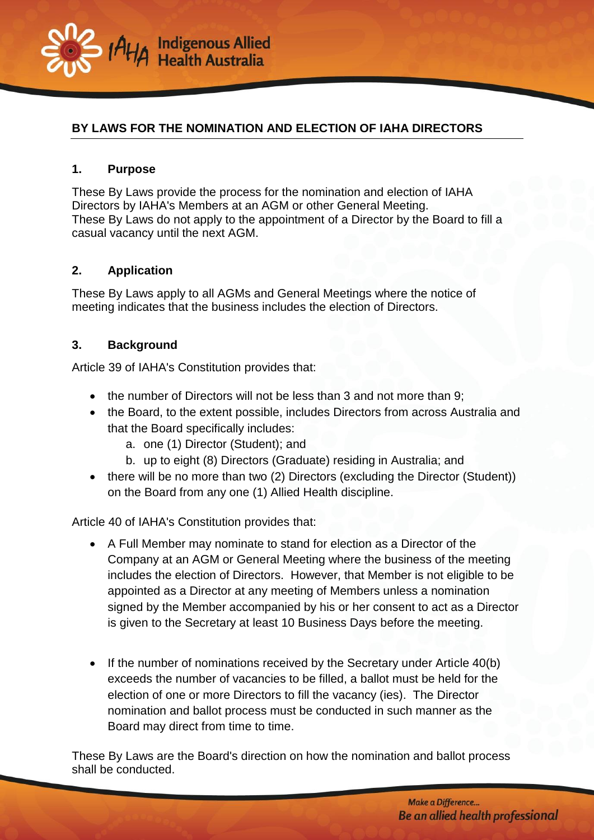

# **BY LAWS FOR THE NOMINATION AND ELECTION OF IAHA DIRECTORS**

## **1. Purpose**

These By Laws provide the process for the nomination and election of IAHA Directors by IAHA's Members at an AGM or other General Meeting. These By Laws do not apply to the appointment of a Director by the Board to fill a casual vacancy until the next AGM.

## **2. Application**

These By Laws apply to all AGMs and General Meetings where the notice of meeting indicates that the business includes the election of Directors.

## **3. Background**

Article 39 of IAHA's Constitution provides that:

- the number of Directors will not be less than 3 and not more than 9;
- the Board, to the extent possible, includes Directors from across Australia and that the Board specifically includes:
	- a. one (1) Director (Student); and
	- b. up to eight (8) Directors (Graduate) residing in Australia; and
- there will be no more than two (2) Directors (excluding the Director (Student)) on the Board from any one (1) Allied Health discipline.

Article 40 of IAHA's Constitution provides that:

- A Full Member may nominate to stand for election as a Director of the Company at an AGM or General Meeting where the business of the meeting includes the election of Directors. However, that Member is not eligible to be appointed as a Director at any meeting of Members unless a nomination signed by the Member accompanied by his or her consent to act as a Director is given to the Secretary at least 10 Business Days before the meeting.
- If the number of nominations received by the Secretary under Article 40(b) exceeds the number of vacancies to be filled, a ballot must be held for the election of one or more Directors to fill the vacancy (ies). The Director nomination and ballot process must be conducted in such manner as the Board may direct from time to time.

These By Laws are the Board's direction on how the nomination and ballot process shall be conducted.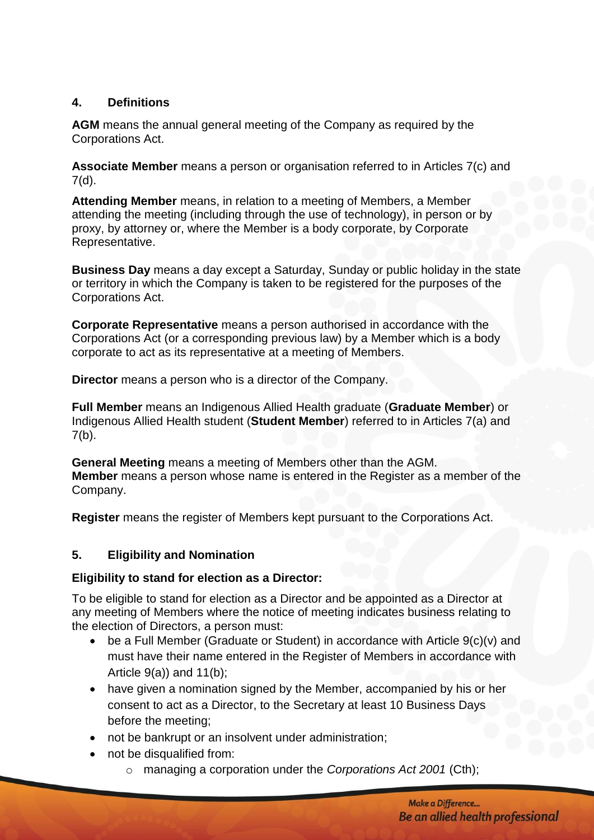# **4. Definitions**

**AGM** means the annual general meeting of the Company as required by the Corporations Act.

**Associate Member** means a person or organisation referred to in Articles 7(c) and 7(d).

**Attending Member** means, in relation to a meeting of Members, a Member attending the meeting (including through the use of technology), in person or by proxy, by attorney or, where the Member is a body corporate, by Corporate Representative.

**Business Day** means a day except a Saturday, Sunday or public holiday in the state or territory in which the Company is taken to be registered for the purposes of the Corporations Act.

**Corporate Representative** means a person authorised in accordance with the Corporations Act (or a corresponding previous law) by a Member which is a body corporate to act as its representative at a meeting of Members.

**Director** means a person who is a director of the Company.

**Full Member** means an Indigenous Allied Health graduate (**Graduate Member**) or Indigenous Allied Health student (**Student Member**) referred to in Articles 7(a) and  $7(b)$ .

**General Meeting** means a meeting of Members other than the AGM. **Member** means a person whose name is entered in the Register as a member of the Company.

**Register** means the register of Members kept pursuant to the Corporations Act.

# **5. Eligibility and Nomination**

## **Eligibility to stand for election as a Director:**

To be eligible to stand for election as a Director and be appointed as a Director at any meeting of Members where the notice of meeting indicates business relating to the election of Directors, a person must:

- be a Full Member (Graduate or Student) in accordance with Article 9(c)(v) and must have their name entered in the Register of Members in accordance with Article 9(a)) and 11(b);
- have given a nomination signed by the Member, accompanied by his or her consent to act as a Director, to the Secretary at least 10 Business Days before the meeting;
- not be bankrupt or an insolvent under administration;
- not be disqualified from:
	- o managing a corporation under the *Corporations Act 2001* (Cth);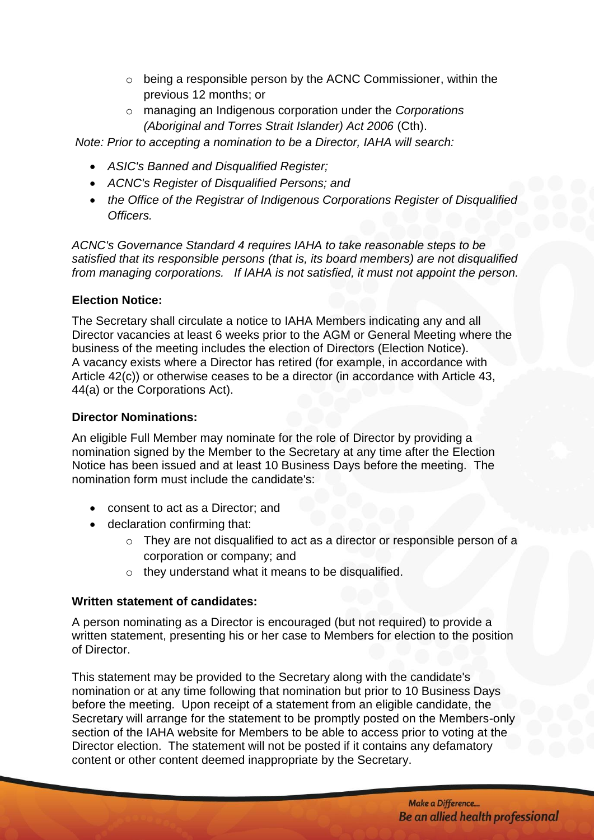- $\circ$  being a responsible person by the ACNC Commissioner, within the previous 12 months; or
- o managing an Indigenous corporation under the *Corporations (Aboriginal and Torres Strait Islander) Act 2006* (Cth).

*Note: Prior to accepting a nomination to be a Director, IAHA will search:*

- *ASIC's Banned and Disqualified Register;*
- *ACNC's Register of Disqualified Persons; and*
- *the Office of the Registrar of Indigenous Corporations Register of Disqualified Officers.*

*ACNC's Governance Standard 4 requires IAHA to take reasonable steps to be satisfied that its [responsible persons](http://www.acnc.gov.au/ACNC/Pblctns/Factsheets/ACNC/FTS/FS_RespPers.aspx) (that is, its board members) are not disqualified from managing corporations. If IAHA is not satisfied, it must not appoint the person.* 

## **Election Notice:**

The Secretary shall circulate a notice to IAHA Members indicating any and all Director vacancies at least 6 weeks prior to the AGM or General Meeting where the business of the meeting includes the election of Directors (Election Notice). A vacancy exists where a Director has retired (for example, in accordance with Article 42(c)) or otherwise ceases to be a director (in accordance with Article 43, 44(a) or the Corporations Act).

## **Director Nominations:**

An eligible Full Member may nominate for the role of Director by providing a nomination signed by the Member to the Secretary at any time after the Election Notice has been issued and at least 10 Business Days before the meeting. The nomination form must include the candidate's:

- consent to act as a Director; and
- [declaration confirming that:](http://www.acnc.gov.au/ACNC/Manage/Governance/GovStds_4/ACNC/Edu/Disq_Resp.aspx)
	- o [They](http://www.acnc.gov.au/ACNC/Manage/Governance/GovStds_4/ACNC/Edu/Disq_Resp.aspx) are not disqualified to act as a director or responsible person of a corporation or company; and
	- o they understand what it means to be disqualified.

## **Written statement of candidates:**

A person nominating as a Director is encouraged (but not required) to provide a written statement, presenting his or her case to Members for election to the position of Director.

This statement may be provided to the Secretary along with the candidate's nomination or at any time following that nomination but prior to 10 Business Days before the meeting. Upon receipt of a statement from an eligible candidate, the Secretary will arrange for the statement to be promptly posted on the Members-only section of the IAHA website for Members to be able to access prior to voting at the Director election. The statement will not be posted if it contains any defamatory content or other content deemed inappropriate by the Secretary.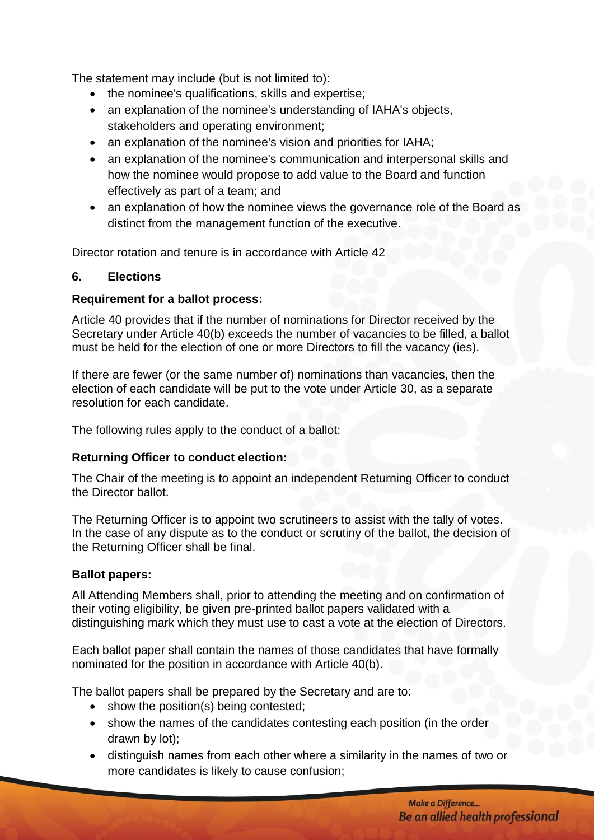The statement may include (but is not limited to):

- the nominee's qualifications, skills and expertise;
- an explanation of the nominee's understanding of IAHA's objects, stakeholders and operating environment;
- an explanation of the nominee's vision and priorities for IAHA;
- an explanation of the nominee's communication and interpersonal skills and how the nominee would propose to add value to the Board and function effectively as part of a team; and
- an explanation of how the nominee views the governance role of the Board as distinct from the management function of the executive.

Director rotation and tenure is in accordance with Article 42

### **6. Elections**

### **Requirement for a ballot process:**

Article 40 provides that if the number of nominations for Director received by the Secretary under Article 40(b) exceeds the number of vacancies to be filled, a ballot must be held for the election of one or more Directors to fill the vacancy (ies).

If there are fewer (or the same number of) nominations than vacancies, then the election of each candidate will be put to the vote under Article 30, as a separate resolution for each candidate.

The following rules apply to the conduct of a ballot:

## **Returning Officer to conduct election:**

The Chair of the meeting is to appoint an independent Returning Officer to conduct the Director ballot.

The Returning Officer is to appoint two scrutineers to assist with the tally of votes. In the case of any dispute as to the conduct or scrutiny of the ballot, the decision of the Returning Officer shall be final.

## **Ballot papers:**

All Attending Members shall, prior to attending the meeting and on confirmation of their voting eligibility, be given pre-printed ballot papers validated with a distinguishing mark which they must use to cast a vote at the election of Directors.

Each ballot paper shall contain the names of those candidates that have formally nominated for the position in accordance with Article 40(b).

The ballot papers shall be prepared by the Secretary and are to:

- show the position(s) being contested;
- show the names of the candidates contesting each position (in the order drawn by lot);
- distinguish names from each other where a similarity in the names of two or more candidates is likely to cause confusion;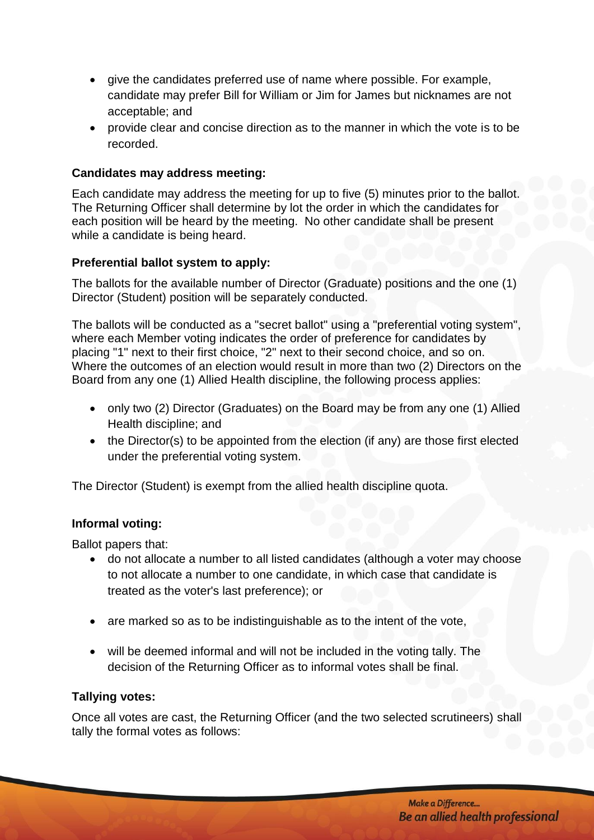- give the candidates preferred use of name where possible. For example, candidate may prefer Bill for William or Jim for James but nicknames are not acceptable; and
- $\bullet$  provide clear and concise direction as to the manner in which the vote is to be recorded.

### **Candidates may address meeting:**

Each candidate may address the meeting for up to five (5) minutes prior to the ballot. The Returning Officer shall determine by lot the order in which the candidates for each position will be heard by the meeting. No other candidate shall be present while a candidate is being heard.

### **Preferential ballot system to apply:**

The ballots for the available number of Director (Graduate) positions and the one (1) Director (Student) position will be separately conducted.

The ballots will be conducted as a "secret ballot" using a "preferential voting system", where each Member voting indicates the order of preference for candidates by placing "1" next to their first choice, "2" next to their second choice, and so on. Where the outcomes of an election would result in more than two (2) Directors on the Board from any one (1) Allied Health discipline, the following process applies:

- only two (2) Director (Graduates) on the Board may be from any one (1) Allied Health discipline; and
- the Director(s) to be appointed from the election (if any) are those first elected under the preferential voting system.

The Director (Student) is exempt from the allied health discipline quota.

#### **Informal voting:**

Ballot papers that:

- do not allocate a number to all listed candidates (although a voter may choose to not allocate a number to one candidate, in which case that candidate is treated as the voter's last preference); or
- are marked so as to be indistinguishable as to the intent of the vote,
- will be deemed informal and will not be included in the voting tally. The decision of the Returning Officer as to informal votes shall be final.

#### **Tallying votes:**

Once all votes are cast, the Returning Officer (and the two selected scrutineers) shall tally the formal votes as follows: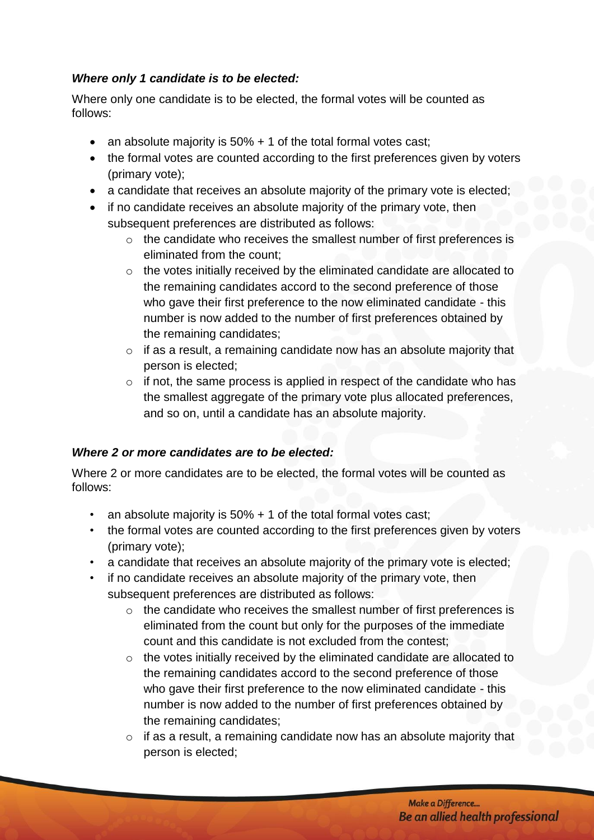# *Where only 1 candidate is to be elected:*

Where only one candidate is to be elected, the formal votes will be counted as follows:

- an absolute majority is  $50\% + 1$  of the total formal votes cast;
- the formal votes are counted according to the first preferences given by voters (primary vote);
- a candidate that receives an absolute majority of the primary vote is elected;
- if no candidate receives an absolute majority of the primary vote, then subsequent preferences are distributed as follows:
	- o the candidate who receives the smallest number of first preferences is eliminated from the count;
	- o the votes initially received by the eliminated candidate are allocated to the remaining candidates accord to the second preference of those who gave their first preference to the now eliminated candidate - this number is now added to the number of first preferences obtained by the remaining candidates;
	- $\circ$  if as a result, a remaining candidate now has an absolute majority that person is elected;
	- $\circ$  if not, the same process is applied in respect of the candidate who has the smallest aggregate of the primary vote plus allocated preferences, and so on, until a candidate has an absolute majority.

# *Where 2 or more candidates are to be elected:*

Where 2 or more candidates are to be elected, the formal votes will be counted as follows:

- an absolute majority is 50% + 1 of the total formal votes cast;
- the formal votes are counted according to the first preferences given by voters (primary vote);
- a candidate that receives an absolute majority of the primary vote is elected;
- if no candidate receives an absolute majority of the primary vote, then subsequent preferences are distributed as follows:
	- o the candidate who receives the smallest number of first preferences is eliminated from the count but only for the purposes of the immediate count and this candidate is not excluded from the contest;
	- $\circ$  the votes initially received by the eliminated candidate are allocated to the remaining candidates accord to the second preference of those who gave their first preference to the now eliminated candidate - this number is now added to the number of first preferences obtained by the remaining candidates;
	- o if as a result, a remaining candidate now has an absolute majority that person is elected;